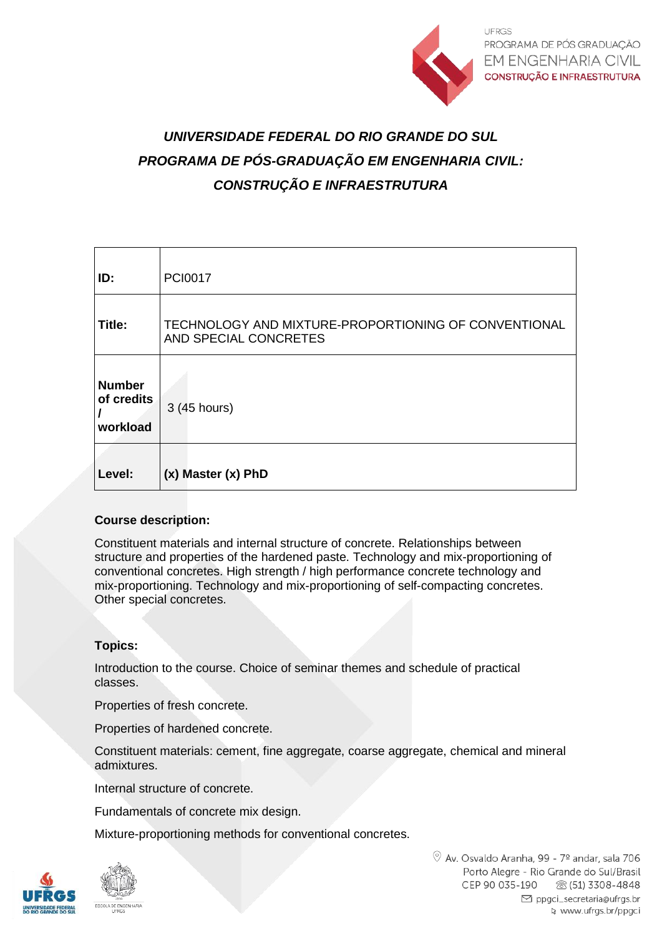

# *UNIVERSIDADE FEDERAL DO RIO GRANDE DO SUL PROGRAMA DE PÓS-GRADUAÇÃO EM ENGENHARIA CIVIL: CONSTRUÇÃO E INFRAESTRUTURA*

| ID:                                     | <b>PCI0017</b>                                                                |
|-----------------------------------------|-------------------------------------------------------------------------------|
| Title:                                  | TECHNOLOGY AND MIXTURE-PROPORTIONING OF CONVENTIONAL<br>AND SPECIAL CONCRETES |
| <b>Number</b><br>of credits<br>workload | 3 (45 hours)                                                                  |
| Level:                                  | (x) Master (x) PhD                                                            |

### **Course description:**

Constituent materials and internal structure of concrete. Relationships between structure and properties of the hardened paste. Technology and mix-proportioning of conventional concretes. High strength / high performance concrete technology and mix-proportioning. Technology and mix-proportioning of self-compacting concretes. Other special concretes.

### **Topics:**

Introduction to the course. Choice of seminar themes and schedule of practical classes.

Properties of fresh concrete.

Properties of hardened concrete.

Constituent materials: cement, fine aggregate, coarse aggregate, chemical and mineral admixtures.

Internal structure of concrete.

Fundamentals of concrete mix design.

Mixture-proportioning methods for conventional concretes.

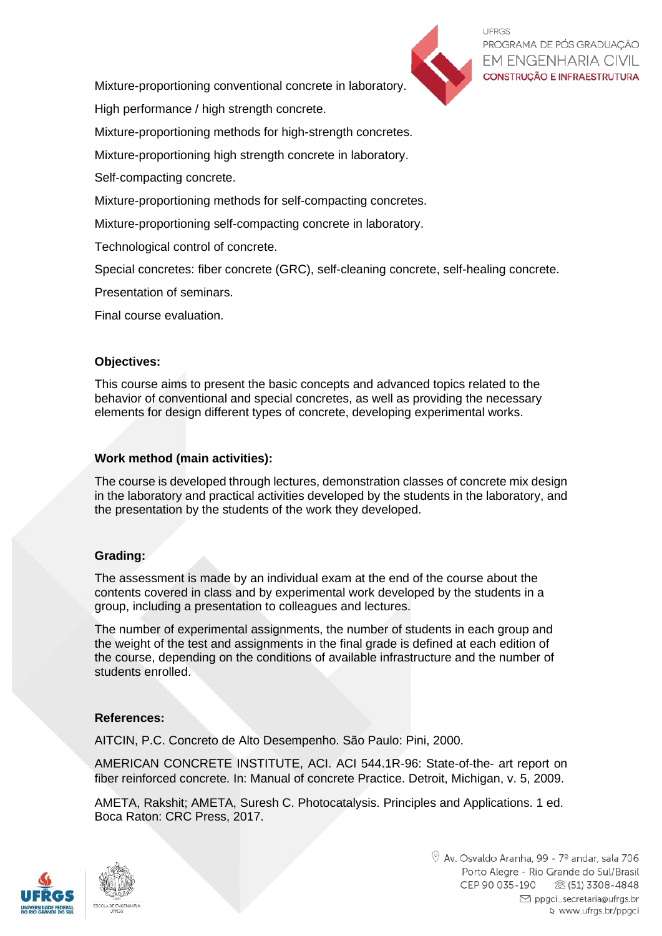

**UFRGS** PROGRAMA DE PÓS GRADUACÃO **EM ENGENHARIA CIVIL CONSTRUÇÃO E INFRAESTRUTURA** 

Mixture-proportioning conventional concrete in laboratory.

High performance / high strength concrete.

Mixture-proportioning methods for high-strength concretes.

Mixture-proportioning high strength concrete in laboratory.

Self-compacting concrete.

Mixture-proportioning methods for self-compacting concretes.

Mixture-proportioning self-compacting concrete in laboratory.

Technological control of concrete.

Special concretes: fiber concrete (GRC), self-cleaning concrete, self-healing concrete.

Presentation of seminars.

Final course evaluation.

## **Objectives:**

This course aims to present the basic concepts and advanced topics related to the behavior of conventional and special concretes, as well as providing the necessary elements for design different types of concrete, developing experimental works.

## **Work method (main activities):**

The course is developed through lectures, demonstration classes of concrete mix design in the laboratory and practical activities developed by the students in the laboratory, and the presentation by the students of the work they developed.

### **Grading:**

The assessment is made by an individual exam at the end of the course about the contents covered in class and by experimental work developed by the students in a group, including a presentation to colleagues and lectures.

The number of experimental assignments, the number of students in each group and the weight of the test and assignments in the final grade is defined at each edition of the course, depending on the conditions of available infrastructure and the number of students enrolled.

## **References:**

AITCIN, P.C. Concreto de Alto Desempenho. São Paulo: Pini, 2000.

AMERICAN CONCRETE INSTITUTE, ACI. ACI 544.1R-96: State-of-the- art report on fiber reinforced concrete. In: Manual of concrete Practice. Detroit, Michigan, v. 5, 2009.

AMETA, Rakshit; AMETA, Suresh C. Photocatalysis. Principles and Applications. 1 ed. Boca Raton: CRC Press, 2017.

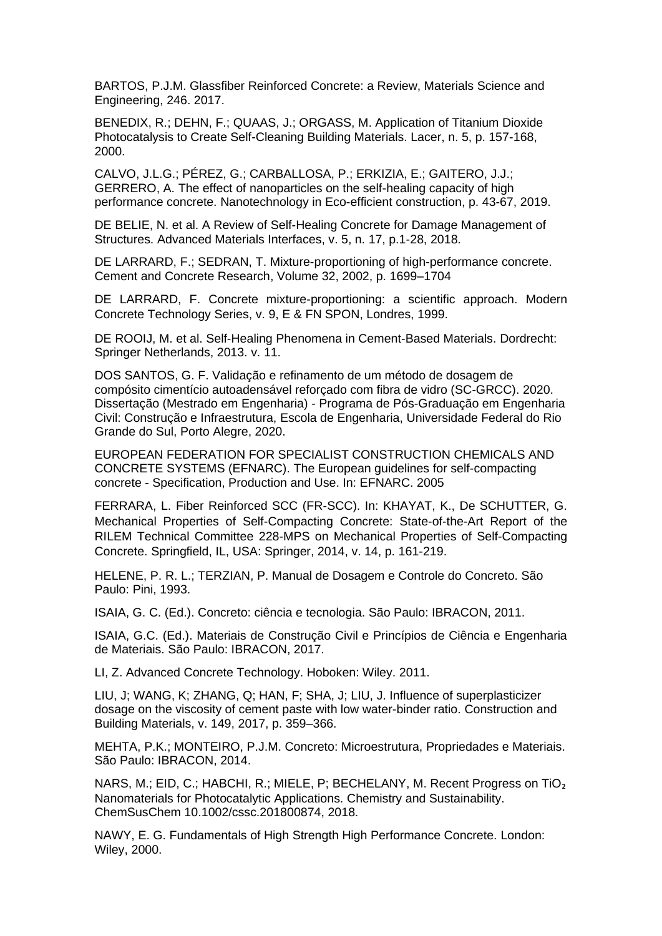BARTOS, P.J.M. Glassfiber Reinforced Concrete: a Review, Materials Science and Engineering, 246. 2017.

BENEDIX, R.; DEHN, F.; QUAAS, J.; ORGASS, M. Application of Titanium Dioxide Photocatalysis to Create Self-Cleaning Building Materials. Lacer, n. 5, p. 157-168, 2000.

CALVO, J.L.G.; PÉREZ, G.; CARBALLOSA, P.; ERKIZIA, E.; GAITERO, J.J.; GERRERO, A. The effect of nanoparticles on the self-healing capacity of high performance concrete. Nanotechnology in Eco-efficient construction, p. 43-67, 2019.

DE BELIE, N. et al. A Review of Self-Healing Concrete for Damage Management of Structures. Advanced Materials Interfaces, v. 5, n. 17, p.1-28, 2018.

DE LARRARD, F.; SEDRAN, T. Mixture-proportioning of high-performance concrete. Cement and Concrete Research, Volume 32, 2002, p. 1699–1704

DE LARRARD, F. Concrete mixture-proportioning: a scientific approach. Modern Concrete Technology Series, v. 9, E & FN SPON, Londres, 1999.

DE ROOIJ, M. et al. Self-Healing Phenomena in Cement-Based Materials. Dordrecht: Springer Netherlands, 2013. v. 11.

DOS SANTOS, G. F. Validação e refinamento de um método de dosagem de compósito cimentício autoadensável reforçado com fibra de vidro (SC-GRCC). 2020. Dissertação (Mestrado em Engenharia) - Programa de Pós-Graduação em Engenharia Civil: Construção e Infraestrutura, Escola de Engenharia, Universidade Federal do Rio Grande do Sul, Porto Alegre, 2020.

EUROPEAN FEDERATION FOR SPECIALIST CONSTRUCTION CHEMICALS AND CONCRETE SYSTEMS (EFNARC). The European guidelines for self-compacting concrete - Specification, Production and Use. In: EFNARC. 2005

FERRARA, L. Fiber Reinforced SCC (FR-SCC). In: KHAYAT, K., De SCHUTTER, G. Mechanical Properties of Self-Compacting Concrete: State-of-the-Art Report of the RILEM Technical Committee 228-MPS on Mechanical Properties of Self-Compacting Concrete. Springfield, IL, USA: Springer, 2014, v. 14, p. 161-219.

HELENE, P. R. L.; TERZIAN, P. Manual de Dosagem e Controle do Concreto. São Paulo: Pini, 1993.

ISAIA, G. C. (Ed.). Concreto: ciência e tecnologia. São Paulo: IBRACON, 2011.

ISAIA, G.C. (Ed.). Materiais de Construção Civil e Princípios de Ciência e Engenharia de Materiais. São Paulo: IBRACON, 2017.

LI, Z. Advanced Concrete Technology. Hoboken: Wiley. 2011.

LIU, J; WANG, K; ZHANG, Q; HAN, F; SHA, J; LIU, J. Influence of superplasticizer dosage on the viscosity of cement paste with low water-binder ratio. Construction and Building Materials, v. 149, 2017, p. 359–366.

MEHTA, P.K.; MONTEIRO, P.J.M. Concreto: Microestrutura, Propriedades e Materiais. São Paulo: IBRACON, 2014.

NARS, M.; EID, C.; HABCHI, R.; MIELE, P; BECHELANY, M. Recent Progress on TiO<sub>2</sub> Nanomaterials for Photocatalytic Applications. Chemistry and Sustainability. ChemSusChem 10.1002/cssc.201800874, 2018.

NAWY, E. G. Fundamentals of High Strength High Performance Concrete. London: Wiley, 2000.